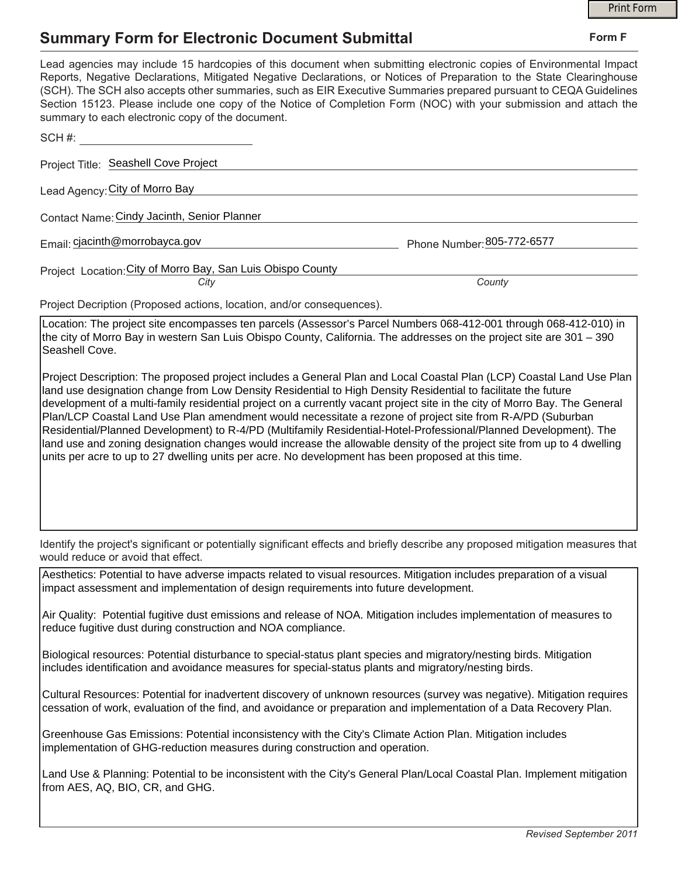## **Summary Form for Electronic Document Submittal**

|                                                                                                                                                                                                                                                                                                                                                                                                                                                                                                                                                                                                                                                                                                                                                                                                                                      | <b>Print Form</b> |
|--------------------------------------------------------------------------------------------------------------------------------------------------------------------------------------------------------------------------------------------------------------------------------------------------------------------------------------------------------------------------------------------------------------------------------------------------------------------------------------------------------------------------------------------------------------------------------------------------------------------------------------------------------------------------------------------------------------------------------------------------------------------------------------------------------------------------------------|-------------------|
| <b>Summary Form for Electronic Document Submittal</b>                                                                                                                                                                                                                                                                                                                                                                                                                                                                                                                                                                                                                                                                                                                                                                                | Form F            |
| Lead agencies may include 15 hardcopies of this document when submitting electronic copies of Environmental Impact<br>Reports, Negative Declarations, Mitigated Negative Declarations, or Notices of Preparation to the State Clearinghouse<br>(SCH). The SCH also accepts other summaries, such as EIR Executive Summaries prepared pursuant to CEQA Guidelines<br>Section 15123. Please include one copy of the Notice of Completion Form (NOC) with your submission and attach the<br>summary to each electronic copy of the document.                                                                                                                                                                                                                                                                                            |                   |
| SCH#:                                                                                                                                                                                                                                                                                                                                                                                                                                                                                                                                                                                                                                                                                                                                                                                                                                |                   |
| Project Title: Seashell Cove Project                                                                                                                                                                                                                                                                                                                                                                                                                                                                                                                                                                                                                                                                                                                                                                                                 |                   |
| Lead Agency: City of Morro Bay                                                                                                                                                                                                                                                                                                                                                                                                                                                                                                                                                                                                                                                                                                                                                                                                       |                   |
| Contact Name: Cindy Jacinth, Senior Planner                                                                                                                                                                                                                                                                                                                                                                                                                                                                                                                                                                                                                                                                                                                                                                                          |                   |
| Email: cjacinth@morrobayca.gov<br>Phone Number: 805-772-6577                                                                                                                                                                                                                                                                                                                                                                                                                                                                                                                                                                                                                                                                                                                                                                         |                   |
| Project Location: City of Morro Bay, San Luis Obispo County                                                                                                                                                                                                                                                                                                                                                                                                                                                                                                                                                                                                                                                                                                                                                                          |                   |
| County<br>City                                                                                                                                                                                                                                                                                                                                                                                                                                                                                                                                                                                                                                                                                                                                                                                                                       |                   |
| Project Decription (Proposed actions, location, and/or consequences).                                                                                                                                                                                                                                                                                                                                                                                                                                                                                                                                                                                                                                                                                                                                                                |                   |
| Location: The project site encompasses ten parcels (Assessor's Parcel Numbers 068-412-001 through 068-412-010) in<br>the city of Morro Bay in western San Luis Obispo County, California. The addresses on the project site are 301 - 390<br>Seashell Cove.                                                                                                                                                                                                                                                                                                                                                                                                                                                                                                                                                                          |                   |
| Project Description: The proposed project includes a General Plan and Local Coastal Plan (LCP) Coastal Land Use Plan<br>land use designation change from Low Density Residential to High Density Residential to facilitate the future<br>development of a multi-family residential project on a currently vacant project site in the city of Morro Bay. The General<br>Plan/LCP Coastal Land Use Plan amendment would necessitate a rezone of project site from R-A/PD (Suburban<br>Residential/Planned Development) to R-4/PD (Multifamily Residential-Hotel-Professional/Planned Development). The<br>land use and zoning designation changes would increase the allowable density of the project site from up to 4 dwelling<br>units per acre to up to 27 dwelling units per acre. No development has been proposed at this time. |                   |
| Identify the project's significant or potentially significant effects and briefly describe any proposed mitigation measures that<br>would reduce or avoid that effect.                                                                                                                                                                                                                                                                                                                                                                                                                                                                                                                                                                                                                                                               |                   |
| Aesthetics: Potential to have adverse impacts related to visual resources. Mitigation includes preparation of a visual<br>impact assessment and implementation of design requirements into future development.                                                                                                                                                                                                                                                                                                                                                                                                                                                                                                                                                                                                                       |                   |
| Air Quality: Potential fugitive dust emissions and release of NOA. Mitigation includes implementation of measures to<br>reduce fugitive dust during construction and NOA compliance.                                                                                                                                                                                                                                                                                                                                                                                                                                                                                                                                                                                                                                                 |                   |
| Biological resources: Potential disturbance to special-status plant species and migratory/nesting birds. Mitigation<br>includes identification and avoidance measures for special-status plants and migratory/nesting birds.                                                                                                                                                                                                                                                                                                                                                                                                                                                                                                                                                                                                         |                   |
| Cultural Resources: Potential for inadvertent discovery of unknown resources (survey was negative). Mitigation requires<br>cessation of work, evaluation of the find, and avoidance or preparation and implementation of a Data Recovery Plan.                                                                                                                                                                                                                                                                                                                                                                                                                                                                                                                                                                                       |                   |
| Greenhouse Gas Emissions: Potential inconsistency with the City's Climate Action Plan. Mitigation includes<br>implementation of GHG-reduction measures during construction and operation.                                                                                                                                                                                                                                                                                                                                                                                                                                                                                                                                                                                                                                            |                   |
| Land Use & Planning: Potential to be inconsistent with the City's General Plan/Local Coastal Plan. Implement mitigation<br>from AES, AQ, BIO, CR, and GHG.                                                                                                                                                                                                                                                                                                                                                                                                                                                                                                                                                                                                                                                                           |                   |
|                                                                                                                                                                                                                                                                                                                                                                                                                                                                                                                                                                                                                                                                                                                                                                                                                                      |                   |